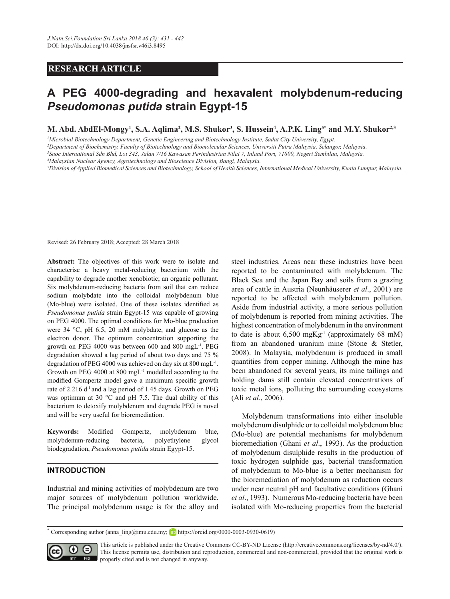# **RESEARCH ARTICLE**

# **A PEG 4000-degrading and hexavalent molybdenum-reducing**  *Pseudomonas putida* **strain Egypt-15**

**M. Abd. AbdEl-Mongy1 , S.A. Aqlima2 , M.S. Shukor3 , S. Hussein4 , A.P.K. Ling5\* and M.Y. Shukor2,3**

*1 Microbial Biotechnology Department, Genetic Engineering and Biotechnology Institute, Sadat City University, Egypt.*

*2 Department of Biochemistry, Faculty of Biotechnology and Biomolecular Sciences, Universiti Putra Malaysia, Selangor, Malaysia.*

*3 Snoc International Sdn Bhd, Lot 343, Jalan 7/16 Kawasan Perindustrian Nilai 7, Inland Port, 71800, Negeri Sembilan, Malaysia.*

*4 Malaysian Nuclear Agency, Agrotechnology and Bioscience Division, Bangi, Malaysia.*

*5 Division of Applied Biomedical Sciences and Biotechnology, School of Health Sciences, International Medical University, Kuala Lumpur, Malaysia.*

Revised: 26 February 2018; Accepted: 28 March 2018

**Abstract:** The objectives of this work were to isolate and characterise a heavy metal-reducing bacterium with the capability to degrade another xenobiotic; an organic pollutant. Six molybdenum-reducing bacteria from soil that can reduce sodium molybdate into the colloidal molybdenum blue (Mo-blue) were isolated. One of these isolates identified as *Pseudomonas putida* strain Egypt-15 was capable of growing on PEG 4000. The optimal conditions for Mo-blue production were 34 °C, pH 6.5, 20 mM molybdate, and glucose as the electron donor. The optimum concentration supporting the growth on PEG 4000 was between 600 and 800 mgL-1. PEG degradation showed a lag period of about two days and 75 % degradation of PEG 4000 was achieved on day six at 800 mgL-1. Growth on PEG 4000 at 800 mgL-1 modelled according to the modified Gompertz model gave a maximum specific growth rate of 2.216 d<sup>-1</sup> and a lag period of 1.45 days. Growth on PEG was optimum at 30 °C and pH 7.5. The dual ability of this bacterium to detoxify molybdenum and degrade PEG is novel and will be very useful for bioremediation.

**Keywords:** Modified Gompertz, molybdenum blue, molybdenum-reducing bacteria, polyethylene glycol biodegradation, *Pseudomonas putida* strain Egypt-15.

## **INTRODUCTION**

Industrial and mining activities of molybdenum are two major sources of molybdenum pollution worldwide. The principal molybdenum usage is for the alloy and steel industries. Areas near these industries have been reported to be contaminated with molybdenum. The Black Sea and the Japan Bay and soils from a grazing area of cattle in Austria (Neunhäuserer *et al*., 2001) are reported to be affected with molybdenum pollution. Aside from industrial activity, a more serious pollution of molybdenum is reported from mining activities. The highest concentration of molybdenum in the environment to date is about  $6,500 \text{ mgKg}^{-1}$  (approximately 68 mM) from an abandoned uranium mine (Stone & Stetler, 2008). In Malaysia, molybdenum is produced in small quantities from copper mining. Although the mine has been abandoned for several years, its mine tailings and holding dams still contain elevated concentrations of toxic metal ions, polluting the surrounding ecosystems (Ali *et al*., 2006).

Molybdenum transformations into either insoluble molybdenum disulphide or to colloidal molybdenum blue (Mo-blue) are potential mechanisms for molybdenum bioremediation (Ghani *et al*., 1993). As the production of molybdenum disulphide results in the production of toxic hydrogen sulphide gas, bacterial transformation of molybdenum to Mo-blue is a better mechanism for the bioremediation of molybdenum as reduction occurs under near neutral pH and facultative conditions (Ghani *et al*., 1993). Numerous Mo-reducing bacteria have been isolated with Mo-reducing properties from the bacterial

**<sup>\*</sup>** Corresponding author (anna\_ling@imu.edu.my; **h**ttps://orcid.org/0000-0003-0930-0619)



This article is published under the Creative Commons CC-BY-ND License (http://creativecommons.org/licenses/by-nd/4.0/). This license permits use, distribution and reproduction, commercial and non-commercial, provided that the original work is properly cited and is not changed in anyway.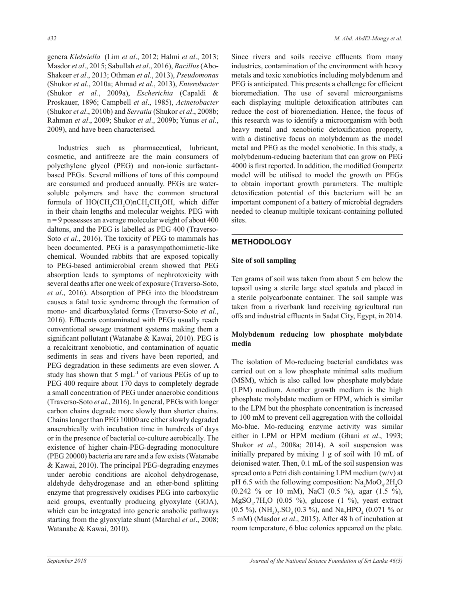genera *Klebsiella* (Lim *et al*., 2012; Halmi *et al*., 2013; Masdor *et al*., 2015; Sabullah *et al*., 2016), *Bacillus* (Abo-Shakeer *et al*., 2013; Othman *et al*., 2013), *Pseudomonas* (Shukor *et al*., 2010a; Ahmad *et al*., 2013), *Enterobacter*  (Shukor *et al.*, 2009a), *Escherichia* (Capaldi & Proskauer, 1896; Campbell *et al*., 1985), *Acinetobacter*  (Shukor *et al*., 2010b) and *Serratia* (Shukor *et al*., 2008b; Rahman *et al*., 2009; Shukor *et al*., 2009b; Yunus *et al*., 2009), and have been characterised.

Industries such as pharmaceutical, lubricant, cosmetic, and antifreeze are the main consumers of polyethylene glycol (PEG) and non-ionic surfactantbased PEGs. Several millions of tons of this compound are consumed and produced annually. PEGs are watersoluble polymers and have the common structural formula of  $HO(CH_2CH_2O)$ nCH<sub>2</sub>CH<sub>2</sub>OH, which differ in their chain lengths and molecular weights. PEG with  $n = 9$  possesses an average molecular weight of about 400 daltons, and the PEG is labelled as PEG 400 (Traverso-Soto *et al*., 2016). The toxicity of PEG to mammals has been documented. PEG is a parasympathomimetic-like chemical. Wounded rabbits that are exposed topically to PEG-based antimicrobial cream showed that PEG absorption leads to symptoms of nephrotoxicity with several deaths after one week of exposure (Traverso-Soto, *et al*., 2016). Absorption of PEG into the bloodstream causes a fatal toxic syndrome through the formation of mono- and dicarboxylated forms (Traverso-Soto *et al*., 2016). Effluents contaminated with PEGs usually reach conventional sewage treatment systems making them a significant pollutant (Watanabe & Kawai, 2010). PEG is a recalcitrant xenobiotic, and contamination of aquatic sediments in seas and rivers have been reported, and PEG degradation in these sediments are even slower. A study has shown that 5 mgL-1 of various PEGs of up to PEG 400 require about 170 days to completely degrade a small concentration of PEG under anaerobic conditions (Traverso-Soto *et al*., 2016). In general, PEGs with longer carbon chains degrade more slowly than shorter chains. Chains longer than PEG 10000 are either slowly degraded anaerobically with incubation time in hundreds of days or in the presence of bacterial co-culture aerobically. The existence of higher chain-PEG-degrading monoculture (PEG 20000) bacteria are rare and a few exists (Watanabe & Kawai, 2010). The principal PEG-degrading enzymes under aerobic conditions are alcohol dehydrogenase, aldehyde dehydrogenase and an ether-bond splitting enzyme that progressively oxidises PEG into carboxylic acid groups, eventually producing glyoxylate (GOA), which can be integrated into generic anabolic pathways starting from the glyoxylate shunt (Marchal *et al*., 2008; Watanabe & Kawai, 2010).

Since rivers and soils receive effluents from many industries, contamination of the environment with heavy metals and toxic xenobiotics including molybdenum and PEG is anticipated. This presents a challenge for efficient bioremediation. The use of several microorganisms each displaying multiple detoxification attributes can reduce the cost of bioremediation. Hence, the focus of this research was to identify a microorganism with both heavy metal and xenobiotic detoxification property, with a distinctive focus on molybdenum as the model metal and PEG as the model xenobiotic. In this study, a molybdenum-reducing bacterium that can grow on PEG 4000 is first reported. In addition, the modified Gompertz model will be utilised to model the growth on PEGs to obtain important growth parameters. The multiple detoxification potential of this bacterium will be an important component of a battery of microbial degraders needed to cleanup multiple toxicant-containing polluted sites.

# **METHODOLOGY**

#### **Site of soil sampling**

Ten grams of soil was taken from about 5 cm below the topsoil using a sterile large steel spatula and placed in a sterile polycarbonate container. The soil sample was taken from a riverbank land receiving agricultural run offs and industrial effluents in Sadat City, Egypt, in 2014.

## **Molybdenum reducing low phosphate molybdate media**

The isolation of Mo-reducing bacterial candidates was carried out on a low phosphate minimal salts medium (MSM), which is also called low phosphate molybdate (LPM) medium. Another growth medium is the high phosphate molybdate medium or HPM, which is similar to the LPM but the phosphate concentration is increased to 100 mM to prevent cell aggregation with the colloidal Mo-blue. Mo-reducing enzyme activity was similar either in LPM or HPM medium (Ghani *et al*., 1993; Shukor *et al*., 2008a; 2014). A soil suspension was initially prepared by mixing 1 g of soil with 10 mL of deionised water. Then, 0.1 mL of the soil suspension was spread onto a Petri dish containing LPM medium (w/v) at pH 6.5 with the following composition:  $\text{Na}_2\text{MoO}_4$ .2H<sub>2</sub>O (0.242 % or 10 mM), NaCl (0.5 %), agar (1.5 %),  $MgSO_{4}$ .7H<sub>2</sub>O (0.05 %), glucose (1 %), yeast extract  $(0.5 \%)$ ,  $(NH_4)_2$ .  $SO_4$  (0.3 %), and  $Na_2HPO_4$  (0.071 % or 5 mM) (Masdor *et al*., 2015). After 48 h of incubation at room temperature, 6 blue colonies appeared on the plate.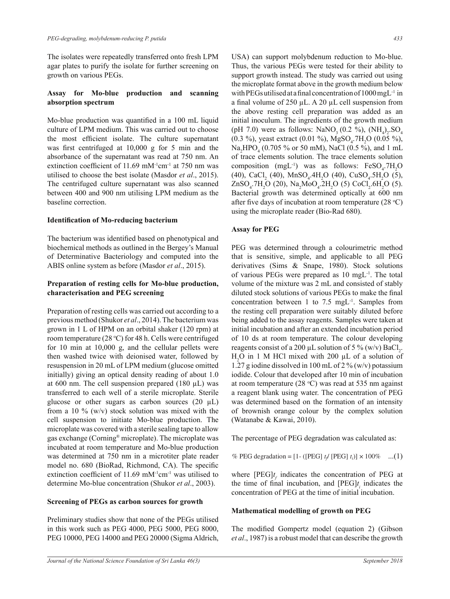The isolates were repeatedly transferred onto fresh LPM agar plates to purify the isolate for further screening on growth on various PEGs.

## **Assay for Mo-blue production and scanning absorption spectrum**

Mo-blue production was quantified in a 100 mL liquid culture of LPM medium. This was carried out to choose the most efficient isolate. The culture supernatant was first centrifuged at 10,000 g for 5 min and the absorbance of the supernatant was read at 750 nm. An extinction coefficient of 11.69 mM<sup>-1</sup>cm<sup>-1</sup> at 750 nm was utilised to choose the best isolate (Masdor *et al*., 2015). The centrifuged culture supernatant was also scanned between 400 and 900 nm utilising LPM medium as the baseline correction.

#### **Identification of Mo-reducing bacterium**

The bacterium was identified based on phenotypical and biochemical methods as outlined in the Bergey's Manual of Determinative Bacteriology and computed into the ABIS online system as before (Masdor *et al*., 2015).

## **Preparation of resting cells for Mo-blue production, characterisation and PEG screening**

Preparation of resting cells was carried out according to a previous method (Shukor *et al*., 2014). The bacterium was grown in 1 L of HPM on an orbital shaker (120 rpm) at room temperature (28 °C) for 48 h. Cells were centrifuged for 10 min at 10,000 g, and the cellular pellets were then washed twice with deionised water, followed by resuspension in 20 mL of LPM medium (glucose omitted initially) giving an optical density reading of about 1.0 at 600 nm. The cell suspension prepared  $(180 \mu L)$  was transferred to each well of a sterile microplate. Sterile glucose or other sugars as carbon sources  $(20 \mu L)$ from a 10  $\%$  (w/v) stock solution was mixed with the cell suspension to initiate Mo-blue production. The microplate was covered with a sterile sealing tape to allow gas exchange (Corning® microplate). The microplate was incubated at room temperature and Mo-blue production was determined at 750 nm in a microtiter plate reader model no. 680 (BioRad, Richmond, CA). The specific extinction coefficient of  $11.69$  mM<sup>-1</sup>cm<sup>-1</sup> was utilised to determine Mo-blue concentration (Shukor *et al*., 2003).

#### **Screening of PEGs as carbon sources for growth**

Preliminary studies show that none of the PEGs utilised in this work such as PEG 4000, PEG 5000, PEG 8000, PEG 10000, PEG 14000 and PEG 20000 (Sigma Aldrich, USA) can support molybdenum reduction to Mo-blue. Thus, the various PEGs were tested for their ability to support growth instead. The study was carried out using the microplate format above in the growth medium below with PEGs utilised at a final concentration of  $1000 \text{ mgL}^{-1}$  in a final volume of 250  $\mu$ L. A 20  $\mu$ L cell suspension from the above resting cell preparation was added as an initial inoculum. The ingredients of the growth medium (pH 7.0) were as follows:  $\text{NaNO}_3 (0.2 \text{ %}), (\text{NH}_4)_2.\text{SO}_4)$  $(0.3 \%)$ , yeast extract  $(0.01 \%)$ , MgSO<sub>4</sub>.7H<sub>2</sub>O  $(0.05 \%)$ ,  $\text{Na}_2\text{HPO}_4$  (0.705 % or 50 mM), NaCl (0.5 %), and 1 mL of trace elements solution. The trace elements solution composition (mgL<sup>-1</sup>) was as follows:  $FeSO_4$ .7H<sub>2</sub>O  $(40)$ , CaCl<sub>2</sub> (40), MnSO<sub>4</sub>.4H<sub>2</sub>O (40), CuSO<sub>4</sub>.5H<sub>2</sub>O (5),  $ZnSO_4$ .7H<sub>2</sub>O (20), Na<sub>2</sub>MoO<sub>4</sub>.2H<sub>2</sub>O (5) CoCl<sub>2</sub>.6H<sub>2</sub>O (5). Bacterial growth was determined optically at 600 nm after five days of incubation at room temperature  $(28 \text{ °C})$ using the microplate reader (Bio-Rad 680).

#### **Assay for PEG**

PEG was determined through a colourimetric method that is sensitive, simple, and applicable to all PEG derivatives (Sims & Snape, 1980). Stock solutions of various PEGs were prepared as 10 mgL-1. The total volume of the mixture was 2 mL and consisted of stably diluted stock solutions of various PEGs to make the final concentration between 1 to 7.5 mgL-1. Samples from the resting cell preparation were suitably diluted before being added to the assay reagents. Samples were taken at initial incubation and after an extended incubation period of 10 ds at room temperature. The colour developing reagents consist of a 200  $\mu$ L solution of 5 % (w/v) BaCl<sub>2</sub>.  $H<sub>2</sub>O$  in 1 M HCl mixed with 200  $\mu$ L of a solution of 1.27 g iodine dissolved in 100 mL of 2 %  $(w/v)$  potassium iodide. Colour that developed after 10 min of incubation  $(28.6)$ at room temperature  $(28 \text{ °C})$  was read at 535 nm against a reagent blank using water. The concentration of PEG was determined based on the formation of an intensity of brownish orange colour by the complex solution (Watanabe & Kawai, 2010).

The percentage of PEG degradation was calculated as:

% PEG degradation =  $[1 - ([PEG] \ t_j / [PEG] \ t_i)] \times 100\%$  ...(1)

the time of final incubation, and  $[PEG]t_i$  indicates the time of  $^{\text{DEC}}_1$  *i* the time of initial involvation, where  $[PEG]t_f$  indicates the concentration of PEG at concentration of PEG at the time of initial incubation.

## **Mathematical modelling of growth on PEG**

et al., 1987) is a robust model that can describe the growth The modified Gompertz model (equation 2) (Gibson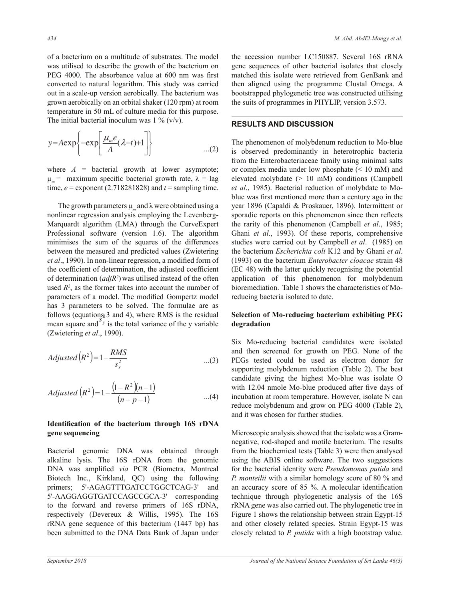of a bacterium on a multitude of substrates. The model was utilised to describe the growth of the bacterium on gene sequences of other bacte PEG 4000. The absorbance value at 600 nm was first converted to natural logarithm. This study was carried then aligned using the progra out in a scale-up version aerobically. The bacterium was grown aerobically on an orbital shaker (120 rpm) at room the suits of programmes temperature in 50 mL of culture media for this purpose. The initial bacterial inoculum was  $1\%$  (v/v).

$$
y = A \exp\left\{-\exp\left[\frac{\mu_m e}{A}(\lambda - t) + 1\right]\right\}
$$
...(2)

where  $A =$  bacterial growth at lower asymptote; or complex media under low p time,  $e =$  exponent (2.718281828) and  $t =$  sampling time. *et al.*, 1  $\mu_m$  = maximum specific bacterial growth rate,  $\lambda$  = lag

9 between the measured and predicted values (Zwietering The growth parameters  $\mu_m$  and  $\lambda$  were obtained using a year 1896 (Capal nonlinear regression analysis employing the Levenberg-<br>sporadic reports Marquardt algorithm (LMA) through the CurveExpert Professional software (version 1.6). The algorithm Ghani et al., 19 minimises the sum of the squares of the differences studies were carr et al., 1990). In non-linear regression, a modified form of (1993) on the back the coefficient of determination, the adjusted coefficient values of the original of the often used *R2* of determination (*adjR2* ) was utilised instead of the often used  $R^2$ , as the former takes into account the number of bioremediation. parameters of a model. The modified Gompertz model reducing ba has 3 parameters to be solved. The formulae are as follows (Eq. s. **iii** and  $\beta$ ) follows (equations 3 and 4), where RMS is the residual mean square and  $\frac{S_y}{y}$  is the total variance of the y-variable **dependence** ( $\frac{S_y}{x}$ ) is the total variance of the y-variable (Zwietering *et al*., 1990).

$$
Adjusted\left(R^2\right) = 1 - \frac{RMS}{s_Y^2} \qquad \qquad ...(3)
$$

$$
Adjusted\left(R^2\right) = 1 - \frac{\left(1 - R^2\right)\left(n - 1\right)}{\left(n - p - 1\right)} \qquad \qquad \dots (4)
$$

#### **Identification of the bacterium through 16S rDNA gene sequencing**

**Execution** genomic BAT was obtained through Hom the order DNA was amplified via PCR (Biometra, Montreal for the bacterial primers; 5'-AGAGTTTGATCCTGGCTCAG-3' and an accuracy scor  $\mu_{\text{tot}}$  the formed and second-second-second-3'  $\sim 5160$ - $\text{DMA}$ respectively (Devereux & Willis, 1995). The  $16S$  Figure 1 shows the respectively been submitted to the DNA Data Bank of Japan under closely related to Biotech Inc., Kirkland, QC) using the following *P. monteilin* 5'-AAGGAGGTGATCCAGCCGCA-3' corresponding technique t to the forward and reverse primers of 16S rDNA, rRNA gene rRNA gene sequence of this bacterium (1447 bp) has and other c Bacterial genomic DNA was obtained through

the accession number LC150887. Several 16S rRNA gene sequences of other bacterial isolates that closely matched this isolate were retrieved from GenBank and then aligned using the programme Clustal Omega. A bootstrapped phylogenetic tree was constructed utilising the suits of programmes in PHYLIP, version 3.573.

## **RESULTS AND DISCUSSION**

e often application of this phenomenon for molybdenum  $\text{coefficient}$  (EC 48) with the latter quickly recognising the potential The phenomenon of molybdenum reduction to Mo-blue is observed predominantly in heterotrophic bacteria from the Enterobacteriaceae family using minimal salts or complex media under low phosphate (< 10 mM) and elevated molybdate (> 10 mM) conditions (Campbell *et al*., 1985). Bacterial reduction of molybdate to Moblue was first mentioned more than a century ago in the year 1896 (Capaldi & Proskauer, 1896). Intermittent or sporadic reports on this phenomenon since then reflects the rarity of this phenomenon (Campbell *et al*., 1985; Ghani *et al*., 1993). Of these reports, comprehensive studies were carried out by Campbell *et al*. (1985) on the bacterium *Escherichia coli* K12 and by Ghani *et al*. (1993) on the bacterium *Enterobacter cloacae* strain 48 bioremediation. Table 1 shows the characteristics of Moreducing bacteria isolated to date.

#### **Selection of Mo-reducing bacterium exhibiting PEG degradation**

 (**iii**) PEGs tested could be used as electron donor for  $\frac{1}{2}$ Six Mo-reducing bacterial candidates were isolated and then screened for growth on PEG. None of the supporting molybdenum reduction (Table 2). The best candidate giving the highest Mo-blue was isolate O with 12.04 nmole Mo-blue produced after five days of incubation at room temperature. However, isolate N can reduce molybdenum and grow on PEG 4000 (Table 2), and it was chosen for further studies.

> Microscopic analysis showed that the isolate was a Gramnegative, rod-shaped and motile bacterium. The results from the biochemical tests (Table 3) were then analysed using the ABIS online software. The two suggestions for the bacterial identity were *Pseudomonas putida* and *P. monteilii* with a similar homology score of 80 % and an accuracy score of 85 %. A molecular identification technique through phylogenetic analysis of the 16S rRNA gene was also carried out. The phylogenetic tree in Figure 1 shows the relationship between strain Egypt-15 and other closely related species. Strain Egypt-15 was closely related to *P. putida* with a high bootstrap value.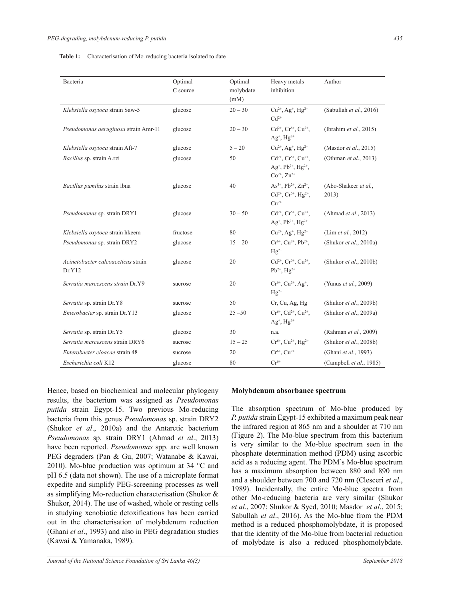|  | <b>Table 1:</b> Characterisation of Mo-reducing bacteria isolated to date |  |  |  |  |
|--|---------------------------------------------------------------------------|--|--|--|--|
|--|---------------------------------------------------------------------------|--|--|--|--|

|                                              |                     |                      |                                                                                                                         | Author                         |  |
|----------------------------------------------|---------------------|----------------------|-------------------------------------------------------------------------------------------------------------------------|--------------------------------|--|
| Bacteria                                     | Optimal<br>C source | Optimal<br>molybdate | Heavy metals<br>inhibition                                                                                              |                                |  |
|                                              |                     | (mM)                 |                                                                                                                         |                                |  |
| Klebsiella oxytoca strain Saw-5              | glucose             | $20 - 30$            | $Cu^{2+}$ , Ag <sup>+</sup> , Hg <sup>2+</sup><br>$Cd2+$                                                                | (Sabullah et al., 2016)        |  |
| Pseudomonas aeruginosa strain Amr-11         | glucose             | $20 - 30$            | $Cd^{2+}$ , $Cr^{6+}$ , $Cu^{2+}$ ,<br>$Ag^+, Hg^{2+}$                                                                  | (Ibrahim et al., 2015)         |  |
| Klebsiella oxytoca strain Aft-7              | glucose             | $5 - 20$             | $Cu^{2+}$ , Ag <sup>+</sup> , Hg <sup>2+</sup>                                                                          | (Masdor <i>et al.</i> , 2015)  |  |
| Bacillus sp. strain A.rzi                    | glucose             | 50                   | $Cd^{2+}$ , $Cr^{6+}$ , $Cu^{2+}$ ,<br>Ag <sup>+</sup> , Pb <sup>2+</sup> , Hg <sup>2+</sup> ,<br>$Co^{2+}$ , $Zn^{2+}$ | (Othman et al., 2013)          |  |
| Bacillus pumilus strain Ibna                 | glucose             | 40                   | As <sup>3+</sup> , Pb <sup>2+</sup> , Zn <sup>2+</sup> ,<br>$Cd^{2+}$ , $Cr^{6+}$ , $Hg^{2+}$ ,<br>$Cu2+$               | (Abo-Shakeer et al.,<br>2013)  |  |
| Pseudomonas sp. strain DRY1                  | glucose             | $30 - 50$            | $Cd^{2+}$ , $Cr^{6+}$ , $Cu^{2+}$ ,<br>$Ag^+, Pb^{2+}, Hg^{2+}$                                                         | (Ahmad et al., 2013)           |  |
| Klebsiella oxytoca strain hkeem              | fructose            | 80                   | $Cu^{2+}$ , Ag <sup>+</sup> , Hg <sup>2+</sup>                                                                          | (Lim <i>et al.</i> , 2012)     |  |
| Pseudomonas sp. strain DRY2                  | glucose             | $15 - 20$            | $Cr^{6+}$ , $Cu^{2+}$ , $Pb^{2+}$ ,<br>$Hg^{2+}$                                                                        | (Shukor <i>et al.</i> , 2010a) |  |
| Acinetobacter calcoaceticus strain<br>Dr.Y12 | glucose             | 20                   | $Cd^{2+}$ , $Cr^{6+}$ , $Cu^{2+}$ ,<br>$Pb^{2+}$ , $Hg^{2+}$                                                            | (Shukor et al., 2010b)         |  |
| Serratia marcescens strain Dr.Y9             | sucrose             | 20                   | $Cr^{6+}$ , $Cu^{2+}$ , Ag <sup>+</sup> ,<br>$Hg^{2+}$                                                                  | (Yunus et al., 2009)           |  |
| Serratia sp. strain Dr.Y8                    | sucrose             | 50                   | Cr, Cu, Ag, Hg                                                                                                          | (Shukor et al., 2009b)         |  |
| <i>Enterobacter</i> sp. strain Dr.Y13        | glucose             | $25 - 50$            | $Cr^{6+}$ , $Cd^{2+}$ , $Cu^{2+}$ ,<br>$Ag^+, Hg^{2+}$                                                                  | (Shukor et al., 2009a)         |  |
| Serratia sp. strain Dr.Y5                    | glucose             | 30                   | n.a.                                                                                                                    | (Rahman et al., 2009)          |  |
| Serratia marcescens strain DRY6              | sucrose             | $15 - 25$            | $Cr^{6+}$ , $Cu^{2+}$ , $Hg^{2+}$                                                                                       | (Shukor et al., 2008b)         |  |
| Enterobacter cloacae strain 48               | sucrose             | 20                   | $Cr^{6+}$ , $Cu^{2+}$                                                                                                   | (Ghani et al., 1993)           |  |
| Escherichia coli K12                         | glucose             | 80                   | $Cr^{6+}$                                                                                                               | (Campbell et al., 1985)        |  |

Hence, based on biochemical and molecular phylogeny results, the bacterium was assigned as *Pseudomonas putida* strain Egypt-15. Two previous Mo-reducing bacteria from this genus *Pseudomonas* sp. strain DRY2 (Shukor *et al*., 2010a) and the Antarctic bacterium *Pseudomonas* sp. strain DRY1 (Ahmad *et al*., 2013) have been reported. *Pseudomonas* spp. are well known PEG degraders (Pan & Gu, 2007; Watanabe & Kawai, 2010). Mo-blue production was optimum at 34 °C and pH 6.5 (data not shown). The use of a microplate format expedite and simplify PEG-screening processes as well as simplifying Mo-reduction characterisation (Shukor & Shukor, 2014). The use of washed, whole or resting cells in studying xenobiotic detoxifications has been carried out in the characterisation of molybdenum reduction (Ghani *et al*., 1993) and also in PEG degradation studies (Kawai & Yamanaka, 1989).

#### **Molybdenum absorbance spectrum**

The absorption spectrum of Mo-blue produced by *P. putida* strain Egypt-15 exhibited a maximum peak near the infrared region at 865 nm and a shoulder at 710 nm (Figure 2). The Mo-blue spectrum from this bacterium is very similar to the Mo-blue spectrum seen in the phosphate determination method (PDM) using ascorbic acid as a reducing agent. The PDM's Mo-blue spectrum has a maximum absorption between 880 and 890 nm and a shoulder between 700 and 720 nm (Clesceri *et al*., 1989). Incidentally, the entire Mo-blue spectra from other Mo-reducing bacteria are very similar (Shukor *et al*., 2007; Shukor & Syed, 2010; Masdor *et al*., 2015; Sabullah *et al*., 2016). As the Mo-blue from the PDM method is a reduced phosphomolybdate, it is proposed that the identity of the Mo-blue from bacterial reduction of molybdate is also a reduced phosphomolybdate.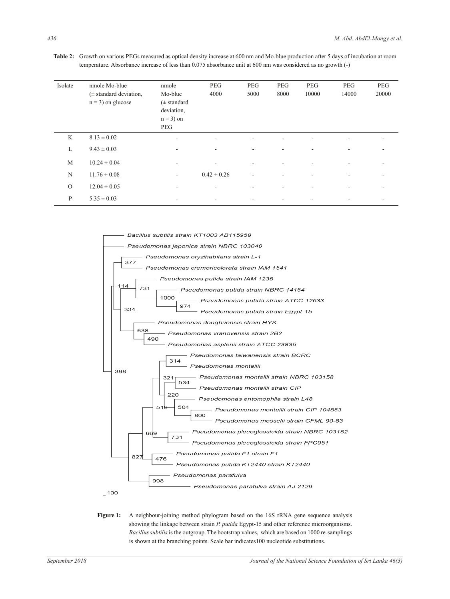**Table 2:** Growth on various PEGs measured as optical density increase at 600 nm and Mo-blue production after 5 days of incubation at room temperature. Absorbance increase of less than 0.075 absorbance unit at 600 nm was considered as no growth (-)

| Isolate  | nmole Mo-blue<br>$(\pm$ standard deviation,<br>$n = 3$ ) on glucose | nmole<br>Mo-blue<br>$(\pm$ standard<br>deviation,<br>$n = 3$ ) on<br>PEG | <b>PEG</b><br>4000       | <b>PEG</b><br>5000           | <b>PEG</b><br>8000 | PEG<br>10000 | <b>PEG</b><br>14000 | <b>PEG</b><br>20000 |
|----------|---------------------------------------------------------------------|--------------------------------------------------------------------------|--------------------------|------------------------------|--------------------|--------------|---------------------|---------------------|
| K        | $8.13 \pm 0.02$                                                     | $\overline{\phantom{a}}$                                                 | $\overline{\phantom{a}}$ | $\qquad \qquad \blacksquare$ |                    |              | ۰                   | ۰                   |
| L        | $9.43 \pm 0.03$                                                     | $\overline{\phantom{a}}$                                                 | $\overline{\phantom{a}}$ | ۰                            |                    |              |                     |                     |
| M        | $10.24 \pm 0.04$                                                    | ۰                                                                        | $\overline{\phantom{a}}$ | ۰                            |                    |              |                     |                     |
| N        | $11.76 \pm 0.08$                                                    | ۰                                                                        | $0.42 \pm 0.26$          | $\overline{\phantom{a}}$     |                    |              |                     |                     |
| $\Omega$ | $12.04 \pm 0.05$                                                    |                                                                          |                          |                              |                    |              |                     |                     |
| P        | $5.35 \pm 0.03$                                                     |                                                                          | -                        |                              |                    |              |                     |                     |



Figure 1: A neighbour-joining method phylogram based on the 16S rRNA gene sequence analysis showing the linkage between strain *P. putida* Egypt-15 and other reference microorganisms. *Bacillus subtilis* is the outgroup. The bootstrap values, which are based on 1000 re-samplings is shown at the branching points. Scale bar indicates100 nucleotide substitutions.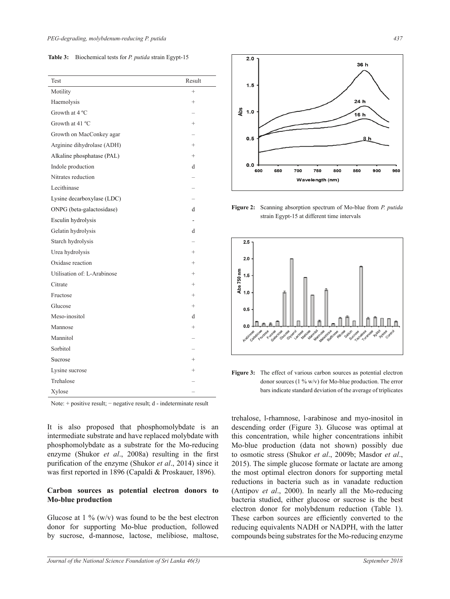**Table 3:** Biochemical tests for *P. putida* strain Egypt-15

| Test                        | Result         |
|-----------------------------|----------------|
| Motility                    | $^{+}$         |
| Haemolysis                  | $^{+}$         |
| Growth at 4 °C              |                |
| Growth at 41 °C             | $^{+}$         |
| Growth on MacConkey agar    |                |
| Arginine dihydrolase (ADH)  | $^{+}$         |
| Alkaline phosphatase (PAL)  | $^{+}$         |
| Indole production           | d              |
| Nitrates reduction          |                |
| Lecithinase                 |                |
| Lysine decarboxylase (LDC)  |                |
| ONPG (beta-galactosidase)   | d              |
| Esculin hydrolysis          | $\overline{a}$ |
| Gelatin hydrolysis          | d              |
| Starch hydrolysis           |                |
| Urea hydrolysis             | $^{+}$         |
| Oxidase reaction            | $^{+}$         |
| Utilisation of: L-Arabinose | $^{+}$         |
| Citrate                     | $^{+}$         |
| Fructose                    | $^{+}$         |
| Glucose                     | $^{+}$         |
| Meso-inositol               | d              |
| Mannose                     | $^{+}$         |
| Mannitol                    |                |
| Sorbitol                    |                |
| Sucrose                     | $^{+}$         |
| Lysine sucrose              | $^{+}$         |
| Trehalose                   |                |
| Xylose                      |                |

Note: + positive result; − negative result; d - indeterminate result

It is also proposed that phosphomolybdate is an intermediate substrate and have replaced molybdate with phosphomolybdate as a substrate for the Mo-reducing enzyme (Shukor *et al*., 2008a) resulting in the first purification of the enzyme (Shukor *et al*., 2014) since it was first reported in 1896 (Capaldi & Proskauer, 1896).

#### **Carbon sources as potential electron donors to Mo-blue production**

Glucose at  $1\%$  (w/v) was found to be the best electron donor for supporting Mo-blue production, followed by sucrose, d-mannose, lactose, melibiose, maltose,



**Figure 2:** Scanning absorption spectrum of Mo-blue from *P. putida*  strain Egypt-15 at different time intervals



Figure 3: The effect of various carbon sources as potential electron donor sources (1 % w/v) for Mo-blue production. The error bars indicate standard deviation of the average of triplicates

trehalose, l-rhamnose, l-arabinose and myo-inositol in descending order (Figure 3). Glucose was optimal at this concentration, while higher concentrations inhibit Mo-blue production (data not shown) possibly due to osmotic stress (Shukor *et al*., 2009b; Masdor *et al*., 2015). The simple glucose formate or lactate are among the most optimal electron donors for supporting metal reductions in bacteria such as in vanadate reduction (Antipov *et al*., 2000). In nearly all the Mo-reducing bacteria studied, either glucose or sucrose is the best electron donor for molybdenum reduction (Table 1). These carbon sources are efficiently converted to the reducing equivalents NADH or NADPH, with the latter compounds being substrates for the Mo-reducing enzyme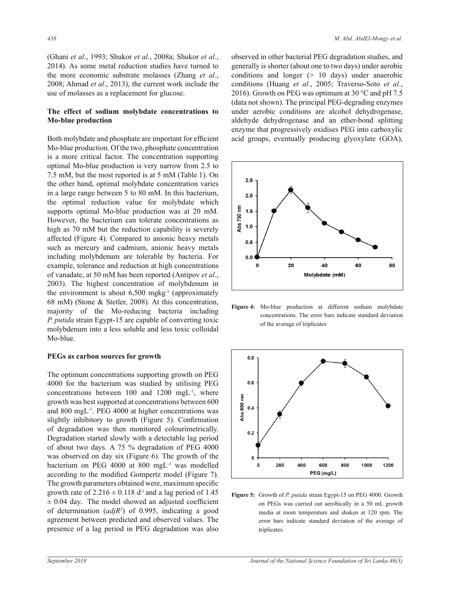(Ghani *et al*., 1993; Shukor *et al*., 2008a; Shukor *et al.*, 2014). As some metal reduction studies have turned to the more economic substrate molasses (Zhang *et al*., 2008; Ahmad *et al*., 2013), the current work include the use of molasses as a replacement for glucose.

#### **The effect of sodium molybdate concentrations to Mo-blue production**

Both molybdate and phosphate are important for efficient Mo-blue production. Of the two, phosphate concentration is a more critical factor. The concentration supporting optimal Mo-blue production is very narrow from 2.5 to 7.5 mM, but the most reported is at 5 mM (Table 1). On the other hand, optimal molybdate concentration varies in a large range between 5 to 80 mM. In this bacterium, the optimal reduction value for molybdate which supports optimal Mo-blue production was at 20 mM. However, the bacterium can tolerate concentrations as high as 70 mM but the reduction capability is severely affected (Figure 4). Compared to anionic heavy metals such as mercury and cadmium, anionic heavy metals including molybdenum are tolerable by bacteria. For example, tolerance and reduction at high concentrations of vanadate, at 50 mM has been reported (Antipov *et al*., 2003). The highest concentration of molybdenum in the environment is about  $6,500$  mgkg<sup>-1</sup> (approximately 68 mM) (Stone & Stetler, 2008). At this concentration, majority of the Mo-reducing bacteria including *P. putida* strain Egypt-15 are capable of converting toxic molybdenum into a less soluble and less toxic colloidal Mo-blue.

#### **PEGs as carbon sources for growth**

The optimum concentrations supporting growth on PEG 4000 for the bacterium was studied by utilising PEG concentrations between 100 and 1200 mgL-1, where growth was best supported at concentrations between 600 and 800 mgL-1. PEG 4000 at higher concentrations was slightly inhibitory to growth (Figure 5). Confirmation of degradation was then monitored colourimetrically. Degradation started slowly with a detectable lag period of about two days. A 75 % degradation of PEG 4000 was observed on day six (Figure 6). The growth of the bacterium on PEG 4000 at 800 mgL-1 was modelled according to the modified Gompertz model (Figure 7). The growth parameters obtained were, maximum specific growth rate of  $2.216 \pm 0.118$  d<sup>-1</sup> and a lag period of 1.45  $\pm$  0.04 day. The model showed an adjusted coefficient of determination (*adjR2* ) of 0.995, indicating a good agreement between predicted and observed values. The presence of a lag period in PEG degradation was also

observed in other bacterial PEG degradation studies, and generally is shorter (about one to two days) under aerobic conditions and longer  $(> 10$  days) under anaerobic conditions (Huang *et al*., 2005; Traverso-Soto *et al*., 2016). Growth on PEG was optimum at 30 °C and pH 7.5 (data not shown). The principal PEG-degrading enzymes under aerobic conditions are alcohol dehydrogenase, aldehyde dehydrogenase and an ether-bond splitting enzyme that progressively oxidises PEG into carboxylic acid groups, eventually producing glyoxylate (GOA),



**Figure 4:** Mo-blue production at different sodium molybdate concentrations. The error bars indicate standard deviation of the average of triplicates



**Figure 5:** Growth of *P. putida* strain Egypt-15 on PEG 4000. Growth on PEGs was carried out aerobically in a 50 mL growth media at room temperature and shaken at 120 rpm. The error bars indicate standard deviation of the average of triplicates.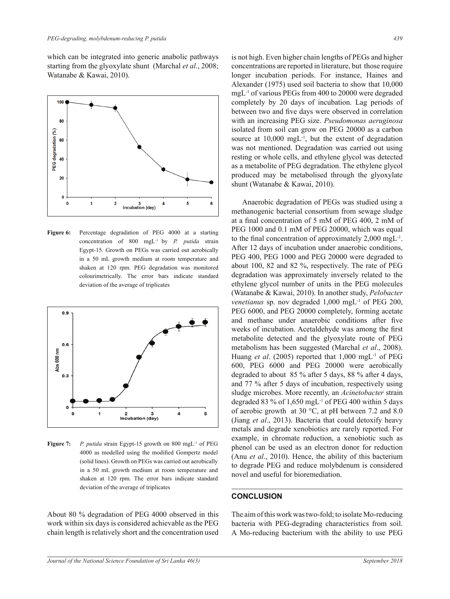which can be integrated into generic anabolic pathways starting from the glyoxylate shunt (Marchal *et al*., 2008; Watanabe & Kawai, 2010).



**Figure 6:** Percentage degradation of PEG 4000 at a starting concentration of 800 mgL-1 by *P. putida* strain Egypt-15. Growth on PEGs was carried out aerobically in a 50 mL growth medium at room temperature and shaken at 120 rpm. PEG degradation was monitored colourimetrically. The error bars indicate standard deviation of the average of triplicates



**Figure 7:** *P. putida* strain Egypt-15 growth on 800 mgL<sup>-1</sup> of PEG 4000 as modelled using the modified Gompertz model (solid lines). Growth on PEGs was carried out aerobically in a 50 mL growth medium at room temperature and shaken at 120 rpm. The error bars indicate standard deviation of the average of triplicates

About 80 % degradation of PEG 4000 observed in this work within six days is considered achievable as the PEG chain length is relatively short and the concentration used is not high. Even higher chain lengths of PEGs and higher concentrations are reported in literature, but those require longer incubation periods. For instance, Haines and Alexander (1975) used soil bacteria to show that 10,000 mgL-1 of various PEGs from 400 to 20000 were degraded completely by 20 days of incubation. Lag periods of between two and five days were observed in correlation with an increasing PEG size. *Pseudomonas aeruginosa* isolated from soil can grow on PEG 20000 as a carbon source at  $10,000$  mgL<sup>-1</sup>, but the extent of degradation was not mentioned. Degradation was carried out using resting or whole cells, and ethylene glycol was detected as a metabolite of PEG degradation. The ethylene glycol produced may be metabolised through the glyoxylate shunt (Watanabe & Kawai, 2010).

Anaerobic degradation of PEGs was studied using a methanogenic bacterial consortium from sewage sludge at a final concentration of 5 mM of PEG 400, 2 mM of PEG 1000 and 0.1 mM of PEG 20000, which was equal to the final concentration of approximately 2,000 mgL-1. After 12 days of incubation under anaerobic conditions, PEG 400, PEG 1000 and PEG 20000 were degraded to about 100, 82 and 82 %, respectively. The rate of PEG degradation was approximately inversely related to the ethylene glycol number of units in the PEG molecules (Watanabe & Kawai, 2010). In another study, *Pelobacter venetianus* sp. nov degraded 1,000 mgL<sup>-1</sup> of PEG 200, PEG 6000, and PEG 20000 completely, forming acetate and methane under anaerobic conditions after five weeks of incubation. Acetaldehyde was among the first metabolite detected and the glyoxylate route of PEG metabolism has been suggested (Marchal *et al*., 2008). Huang *et al.* (2005) reported that 1,000 mgL<sup>-1</sup> of PEG 600, PEG 6000 and PEG 20000 were aerobically degraded to about 85 % after 5 days, 88 % after 4 days, and 77 % after 5 days of incubation, respectively using sludge microbes. More recently, an *Acinetobacter* strain degraded 83 % of 1,650 mgL-1 of PEG 400 within 5 days of aerobic growth at 30 °C, at pH between 7.2 and 8.0 (Jiang *et al*., 2013). Bacteria that could detoxify heavy metals and degrade xenobiotics are rarely reported. For example, in chromate reduction, a xenobiotic such as phenol can be used as an electron donor for reduction (Anu *et al*., 2010). Hence, the ability of this bacterium to degrade PEG and reduce molybdenum is considered novel and useful for bioremediation.

#### **CONCLUSION**

The aim of this work was two-fold; to isolate Mo-reducing bacteria with PEG-degrading characteristics from soil. A Mo-reducing bacterium with the ability to use PEG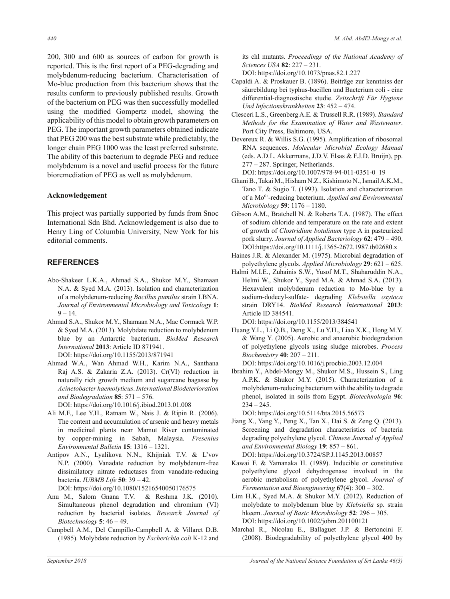200, 300 and 600 as sources of carbon for growth is reported. This is the first report of a PEG-degrading and molybdenum-reducing bacterium. Characterisation of Mo-blue production from this bacterium shows that the results conform to previously published results. Growth of the bacterium on PEG was then successfully modelled using the modified Gompertz model, showing the applicability of this model to obtain growth parameters on PEG. The important growth parameters obtained indicate that PEG 200 was the best substrate while predictably, the longer chain PEG 1000 was the least preferred substrate. The ability of this bacterium to degrade PEG and reduce molybdenum is a novel and useful process for the future bioremediation of PEG as well as molybdenum.

## **Acknowledgement**

This project was partially supported by funds from Snoc International Sdn Bhd. Acknowledgement is also due to Henry Ling of Columbia University, New York for his editorial comments.

# **REFERENCES**

- Abo-Shakeer L.K.A., Ahmad S.A., Shukor M.Y., Shamaan N.A. & Syed M.A. (2013). Isolation and characterization of a molybdenum-reducing *Bacillus pumilus* strain LBNA. *Journal of Environmental Microbiology and Toxicology* **1**:  $9 - 14$ .
- Ahmad S.A., Shukor M.Y., Shamaan N.A., Mac Cormack W.P. & Syed M.A. (2013). Molybdate reduction to molybdenum blue by an Antarctic bacterium. *BioMed Research International* **2013**: Article ID 871941. DOI: https://doi.org/10.1155/2013/871941
- Ahmad W.A., Wan Ahmad W.H., Karim N.A., Santhana Raj A.S. & Zakaria Z.A. (2013). Cr(VI) reduction in naturally rich growth medium and sugarcane bagasse by *Acinetobacter haemolyticus*. *International Biodeterioration and Biodegradation* **85**: 571 – 576.

DOI: https://doi.org/10.1016/j.ibiod.2013.01.008

- Ali M.F., Lee Y.H., Ratnam W., Nais J. & Ripin R. (2006). The content and accumulation of arsenic and heavy metals in medicinal plants near Mamut River contaminated by copper-mining in Sabah, Malaysia. *Fresenius Environmental Bulletin* **15**: 1316 – 1321.
- Antipov A.N., Lyalikova N.N., Khijniak T.V. & L'vov N.P. (2000). Vanadate reduction by molybdenum-free dissimilatory nitrate reductases from vanadate-reducing bacteria. *IUBMB Life* **50**: 39 – 42.

DOI: https://doi.org/10.1080/15216540050176575

- Anu M., Salom Gnana T.V. & Reshma J.K. (2010). Simultaneous phenol degradation and chromium (VI) reduction by bacterial isolates. *Research Journal of Biotechnology* **5**: 46 – 49.
- Campbell A.M., Del Campillo-Campbell A. & Villaret D.B. (1985). Molybdate reduction by *Escherichia coli* K-12 and

its chl mutants. *Proceedings of the National Academy of Sciences USA* **82**: 227 – 231.

DOI: https://doi.org/10.1073/pnas.82.1.227

- Capaldi A. & Proskauer B. (1896). Beiträge zur kenntniss der säurebildung bei typhus-bacillen und Bacterium coli - eine differential-diagnostische studie. *Zeitschrift Für Hygiene Und Infectionskrankheiten* **23**: 452 – 474.
- Clesceri L.S., Greenberg A.E. & Trussell R.R. (1989). *Standard Methods for the Examination of Water and Wastewater*. Port City Press, Baltimore, USA.
- Devereux R. & Willis S.G. (1995). Amplification of ribosomal RNA sequences. *Molecular Microbial Ecology Manual* (eds. A.D.L. Akkermans, J.D.V. Elsas & F.J.D. Bruijn), pp. 277 – 287. Springer, Netherlands.

DOI: https://doi.org/10.1007/978-94-011-0351-0\_19

- Ghani B., Takai M., Hisham N.Z., Kishimoto N., Ismail A.K.M., Tano T. & Sugio T. (1993). Isolation and characterization of a Mo6+-reducing bacterium. *Applied and Environmental Microbiology* **59**: 1176 – 1180.
- Gibson A.M., Bratchell N. & Roberts T.A. (1987). The effect of sodium chloride and temperature on the rate and extent of growth of *Clostridium botulinum* type A in pasteurized pork slurry. *Journal of Applied Bacteriology* **62**: 479 – 490. DOI:https://doi.org/10.1111/j.1365-2672.1987.tb02680.x
- Haines J.R. & Alexander M. (1975). Microbial degradation of polyethylene glycols. *Applied Microbiology* **29**: 621 – 625.
- Halmi M.I.E., Zuhainis S.W., Yusof M.T., Shaharuddin N.A., Helmi W., Shukor Y., Syed M.A. & Ahmad S.A. (2013). Hexavalent molybdenum reduction to Mo-blue by a sodium-dodecyl-sulfate- degrading *Klebsiella oxytoca* strain DRY14. *BioMed Research International* **2013**: Article ID 384541.

DOI: https://doi.org/10.1155/2013/384541

- Huang Y.L., Li Q.B., Deng X., Lu Y.H., Liao X.K., Hong M.Y. & Wang Y. (2005). Aerobic and anaerobic biodegradation of polyethylene glycols using sludge microbes. *Process Biochemistry* **40**: 207 – 211.
- DOI: https://doi.org/10.1016/j.procbio.2003.12.004
- Ibrahim Y., Abdel-Mongy M., Shukor M.S., Hussein S., Ling A.P.K. & Shukor M.Y. (2015). Characterization of a molybdenum-reducing bacterium with the ability to degrade phenol, isolated in soils from Egypt. *Biotechnologia* **96**:  $234 - 245$ .

DOI: https://doi.org/10.5114/bta.2015.56573

- Jiang X., Yang Y., Peng X., Tan X., Dai S. & Zeng Q. (2013). Screening and degradation characteristics of bacteria degrading polyethylene glycol. *Chinese Journal of Applied and Environmental Biology* **19**: 857 – 861. DOI: https://doi.org/10.3724/SP.J.1145.2013.00857
- Kawai F. & Yamanaka H. (1989). Inducible or constitutive polyethylene glycol dehydrogenase involved in the aerobic metabolism of polyethylene glycol. *Journal of Fermentation and Bioengineering* **67**(4): 300 ‒ 302.
- Lim H.K., Syed M.A. & Shukor M.Y. (2012). Reduction of molybdate to molybdenum blue by *Klebsiella* sp. strain hkeem. *Journal of Basic Microbiology* **52**: 296 – 305. DOI: https://doi.org/10.1002/jobm.201100121
- Marchal R., Nicolau E., Ballaguet J.P. & Bertoncini F. (2008). Biodegradability of polyethylene glycol 400 by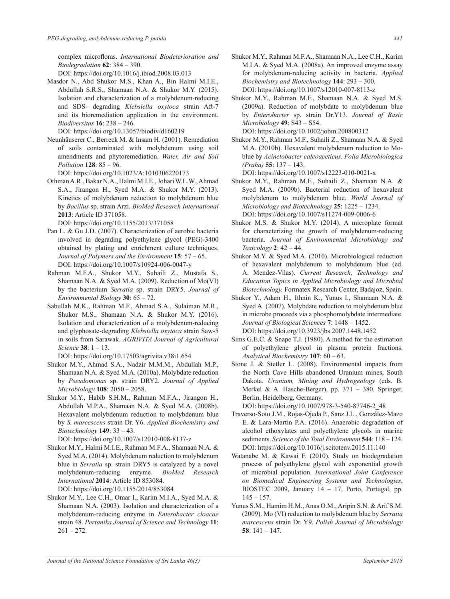complex microfloras. *International Biodeterioration and Biodegradation* **62**: 384 – 390.

DOI: https://doi.org/10.1016/j.ibiod.2008.03.013

Masdor N., Abd Shukor M.S., Khan A., Bin Halmi M.I.E., Abdullah S.R.S., Shamaan N.A. & Shukor M.Y. (2015). Isolation and characterization of a molybdenum-reducing and SDS- degrading *Klebsiella oxytoca* strain Aft-7 and its bioremediation application in the environment. *Biodiversitas* **16**: 238 – 246.

DOI: https://doi.org/10.13057/biodiv/d160219

Neunhäuserer C., Berreck M. & Insam H. (2001). Remediation of soils contaminated with molybdenum using soil amendments and phytoremediation. *Water, Air and Soil Pollution* **128**: 85 – 96.

DOI: https://doi.org/10.1023/A:1010306220173

Othman A.R., Bakar N.A., Halmi M.I.E., Johari W.L.W., Ahmad S.A., Jirangon H., Syed M.A. & Shukor M.Y. (2013). Kinetics of molybdenum reduction to molybdenum blue by *Bacillus* sp. strain Arzi. *BioMed Research International*  **2013**: Article ID 371058.

DOI: https://doi.org/10.1155/2013/371058

- Pan L. & Gu J.D. (2007). Characterization of aerobic bacteria involved in degrading polyethylene glycol (PEG)-3400 obtained by plating and enrichment culture techniques. *Journal of Polymers and the Environment* **15**: 57 – 65. DOI: https://doi.org/10.1007/s10924-006-0047-y
- Rahman M.F.A., Shukor M.Y., Suhaili Z., Mustafa S., Shamaan N.A. & Syed M.A. (2009). Reduction of Mo(VI) by the bacterium *Serratia* sp. strain DRY5. *Journal of Environmental Biology* **30**: 65 – 72.
- Sabullah M.K., Rahman M.F., Ahmad S.A., Sulaiman M.R., Shukor M.S., Shamaan N.A. & Shukor M.Y. (2016). Isolation and characterization of a molybdenum-reducing and glyphosate-degrading *Klebsiella oxytoca* strain Saw-5 in soils from Sarawak. *AGRIVITA Journal of Agricultural Science* **38**: 1 – 13.

DOI: https://doi.org/10.17503/agrivita.v38i1.654

- Shukor M.Y., Ahmad S.A., Nadzir M.M.M., Abdullah M.P., Shamaan N.A. & Syed M.A. (2010a). Molybdate reduction by *Pseudomonas* sp. strain DRY2. *Journal of Applied Microbiology* **108**: 2050 – 2058.
- Shukor M.Y., Habib S.H.M., Rahman M.F.A., Jirangon H., Abdullah M.P.A., Shamaan N.A. & Syed M.A. (2008b). Hexavalent molybdenum reduction to molybdenum blue by *S. marcescens* strain Dr. Y6. *Applied Biochemistry and Biotechnology* **149**: 33 – 43.

DOI: https://doi.org/10.1007/s12010-008-8137-z

Shukor M.Y., Halmi M.I.E., Rahman M.F.A., Shamaan N.A. & Syed M.A. (2014). Molybdenum reduction to molybdenum blue in *Serratia* sp. strain DRY5 is catalyzed by a novel molybdenum-reducing enzyme. *BioMed Research International* **2014**: Article ID 853084.

DOI: https://doi.org/10.1155/2014/853084

Shukor M.Y., Lee C.H., Omar I., Karim M.I.A., Syed M.A. & Shamaan N.A. (2003). Isolation and characterization of a molybdenum-reducing enzyme in *Enterobacter cloacae* strain 48. *Pertanika Journal of Science and Technology* **11**:  $261 - 272$ .

- Shukor M.Y., Rahman M.F.A., Shamaan N.A., Lee C.H., Karim M.I.A. & Syed M.A. (2008a). An improved enzyme assay for molybdenum-reducing activity in bacteria. *Applied Biochemistry and Biotechnology* **144**: 293 – 300. DOI: https://doi.org/10.1007/s12010-007-8113-z
- Shukor M.Y., Rahman M.F., Shamaan N.A. & Syed M.S. (2009a). Reduction of molybdate to molybdenum blue by *Enterobacter* sp. strain Dr.Y13. *Journal of Basic Microbiology* **49**: S43 – S54.

DOI: https://doi.org/10.1002/jobm.200800312

Shukor M.Y., Rahman M.F., Suhaili Z., Shamaan N.A. & Syed M.A. (2010b). Hexavalent molybdenum reduction to Moblue by *Acinetobacter calcoaceticus*. *Folia Microbiologica (Praha)* **55**: 137 – 143.

DOI: https://doi.org/10.1007/s12223-010-0021-x

- Shukor M.Y., Rahman M.F., Suhaili Z., Shamaan N.A. & Syed M.A. (2009b). Bacterial reduction of hexavalent molybdenum to molybdenum blue. *World Journal of Microbiology and Biotechnology* **25**: 1225 – 1234. DOI: https://doi.org/10.1007/s11274-009-0006-6
- Shukor M.S. & Shukor M.Y. (2014). A microplate format for characterizing the growth of molybdenum-reducing bacteria. *Journal of Environmental Microbiology and Toxicology* **2**: 42 – 44.
- Shukor M.Y. & Syed M.A. (2010). Microbiological reduction of hexavalent molybdenum to molybdenum blue (ed. A. Mendez-Vilas). *Current Research, Technology and Education Topics in Applied Microbiology and Microbial Biotechnology.* Formatex Research Center, Badajoz, Spain.
- Shukor Y., Adam H., Ithnin K., Yunus I., Shamaan N.A. & Syed A. (2007). Molybdate reduction to molybdenum blue in microbe proceeds via a phosphomolybdate intermediate. *Journal of Biological Sciences* **7**: 1448 – 1452. DOI: https://doi.org/10.3923/jbs.2007.1448.1452
- Sims G.E.C. & Snape T.J. (1980). A method for the estimation of polyethylene glycol in plasma protein fractions. *Analytical Biochemistry* **107**: 60 – 63.
- Stone J. & Stetler L. (2008). Environmental impacts from the North Cave Hills abandoned Uranium mines, South Dakota. *Uranium, Mining and Hydrogeology* (eds. B. Merkel & A. Hasche-Berger), pp. 371 – 380. Springer, Berlin, Heidelberg, Germany.

DOI: https://doi.org/10.1007/978-3-540-87746-2\_48

- Traverso-Soto J.M., Rojas-Ojeda P., Sanz J.L., González-Mazo E. & Lara-Martín P.A. (2016). Anaerobic degradation of alcohol ethoxylates and polyethylene glycols in marine sediments. *Science of the Total Environment* **544**: 118 – 124. DOI: https://doi.org/10.1016/j.scitotenv.2015.11.140
- Watanabe M. & Kawai F. (2010). Study on biodegradation process of polyethylene glycol with exponential growth of microbial population. *International Joint Conference on Biomedical Engineering Systems and Technologies*, BIOSTEC 2009, January 14 **–** 17, Porto, Portugal, pp.  $145 - 157$ .
- Yunus S.M., Hamim H.M., Anas O.M., Aripin S.N. & Arif S.M. (2009). Mo (VI) reduction to molybdenum blue by *Serratia marcescens* strain Dr. Y9. *Polish Journal of Microbiology* **58**: 141 – 147.